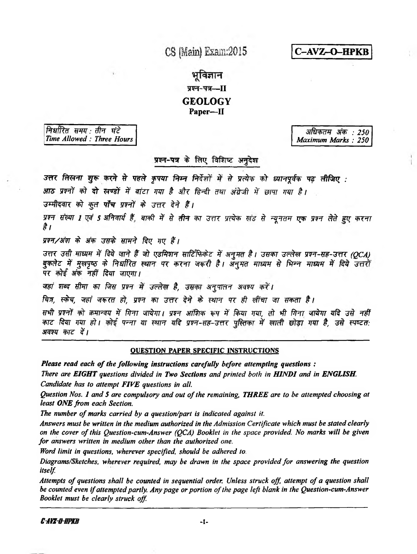CS (Main) Exam:2015

C-AVZ-O-HPKB

भविज्ञान प्रश्न-पत्र--II **GEOLOGY** Paper-II

निर्धारित समय तीन घंटे Time Allowed: Three Hours

अधिकतम अंक : 250 Maximum Marks: 250

# प्रश्न-पत्र के लिए विशिष्ट अनुदेश

उत्तर लिखना शुरू करने से पहले कृपया निम्न निर्देशों में से प्रत्येक को ध्यानपूर्वक पढ़ लीजिए :

आठ प्रश्नों को दो खण्डों में बांटा गया है और हिन्दी तथा अंग्रेजी में छापा गया है।

उम्मीदवार को कुल पाँच प्रश्नों के उत्तर देने हैं।

प्रश्न संख्या 1 एवं 5 अनिवार्य हैं, बाकी में से तीन का उत्तर प्रत्येक खंड से न्यूनतम एक प्रश्न लेते हुए करना है ।

प्रश्न/अंश के अंक उसके सामने दिए गए हैं।

उत्तर उसी माध्यम में दिये जाने हैं जो एडमिशन साटिंफिकेट में अनुमत है। उसका उल्लेख प्रश्न-सह-उत्तर (QCA) बुकतेट में मुखपृष्ठ के निर्धारित स्थान पर करना जरूरी है। अनुमत माध्यम से भिन्न माध्यम में दिये उत्तरों पर कोई अंक नहीं दिया जाएगा।

जहां शब्द सीमा का जिस प्रश्न में उल्लेख है, उसका अनुपालन अवश्य करें।

चित्र, स्केच, जहां जरूरत हो, प्रश्न का उत्तर देने के स्थान पर ही खींचा जा सकता है।

सभी प्रश्नों को क्रमान्वय में गिना जायेगा। प्रश्न आंशिक रूप में किया गया, तो भी गिना जायेगा यदि उसे नहीं काट दिया गया हो। कोई पन्ना या स्थान यदि प्रश्न-सह-उत्तर पुस्तिका में खाली छोड़ा गया है, उसे स्पष्टत: अवश्य काट दें।

# **OUESTION PAPER SPECIFIC INSTRUCTIONS**

Please read each of the following instructions carefully before attempting questions:

There are EIGHT questions divided in Two Sections and printed both in HINDI and in ENGLISH. Candidate has to attempt FIVE questions in all.

Question Nos. 1 and 5 are compulsory and out of the remaining, THREE are to be attempted choosing at least ONE from each Section.

The number of marks carried by a question/part is indicated against it.

Answers must be written in the medium authorized in the Admission Certificate which must be stated clearly on the cover of this Question-cum-Answer (QCA) Booklet in the space provided. No marks will be given for answers written in medium other than the authorized one.

Word limit in questions, wherever specified, should be adhered to.

Diagrams/Sketches, wherever required, may be drawn in the space provided for answering the question itself.

Attempts of questions shall be counted in sequential order. Unless struck off, attempt of a question shall be counted even if attempted partly. Any page or portion of the page left blank in the Question-cum-Answer Booklet must be clearly struck off.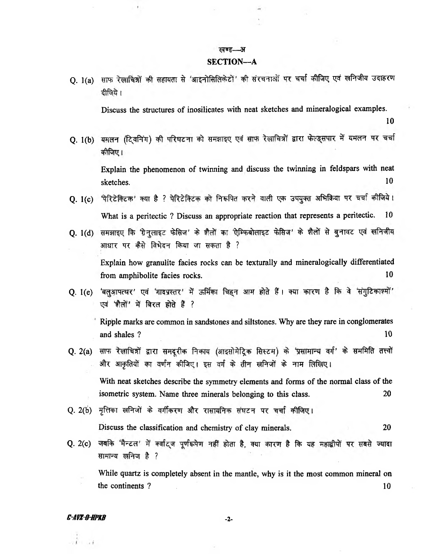#### खण्ड— **3T**

#### **SECTION—A**

Q. 1(a) साफ रेखाचित्रों की सहायता से 'आइनोसिलिकेटों' की संरचनाओं पर चर्चा कीजिए एवं खनिजीय उदाहरण **i**

**Discuss the structures of inosilicates with neat sketches and mineralogical examples.**

10

Q. 1(b) यमलन (टि्वनिंग) की परिघटना को समझाइए एवं साफ रेखाचित्रों द्वारा फेल्ड्सपार में यमलन पर चर्चा कीजिए।

**Explain the phenomenon of twinning and discuss the twinning in feldspars with neat sketches.** 10

- Q. 1(c) पैरिटेक्टिक' क्या है ? पेरिटेक्टिक को निरूपित करने वाली एक उपयुक्त अभिक्रिया पर चर्चा कीजिये। **What is a peritectic ? Discuss an appropriate reaction that represents a peritectic. 10**
- Q. 1(d) समझाइए कि ग्रेनुलाइट फेसिज' के शैलों का 'ऐम्फिबोलाइट फेसिज' के शैलों से बुनावट एवं खनिजीय आधार पर कैसे विभेदन किया जा सकता है ? **Explain how granulite facies rocks can be texturally and mineralogically differentiated from amphibolite facies rocks.** 10
- Q. 1(e) 'बलुआपत्थर' एवं 'गादप्रस्तर' में ऊर्मिका चिहन आम होते हैं। क्या कारण है कि वे 'संगुटिकाश्मों' एवं 'शैलों' में बिरल होते हैं ?

**Ripple marks are common in sandstones and siltstones. Why are they rare in conglomerates and shales ?** 10

- Q. 2(a) साफ रेखाचित्रों द्वारा समदूरीक निकाय (आइसोमेट्रिक सिस्टम) के 'प्रसामान्य वर्ग' के सममिति तत्त्वों और आकृतियों का वर्णन कीजिए। इस वर्ग के तीन खनिजों के नाम लिखिए। **With neat sketches describe the symmetry elements and forms of the normal class of the isometric system. Name three minerals belonging to this class. 20**
- $Q.$  2(b) मृत्तिका खनिजों के वर्गीकरण और रासायनिक संघटन पर चर्चा कीजिए।

**Discuss the classification and chemistry of clay minerals. 20**

Q. 2(c) जबकि 'मैन्टल' में क्वाद्ज पूर्णरूपेण नहीं होता है, क्या कारण है कि यह महाद्वीपों पर सबसे ज्यादा सामान्य खनिज है ?

**While quartz is completely absent in the mantle, why is it the most common mineral on the continents ?** 10

## *C-AVX-0-HPKB* - 2-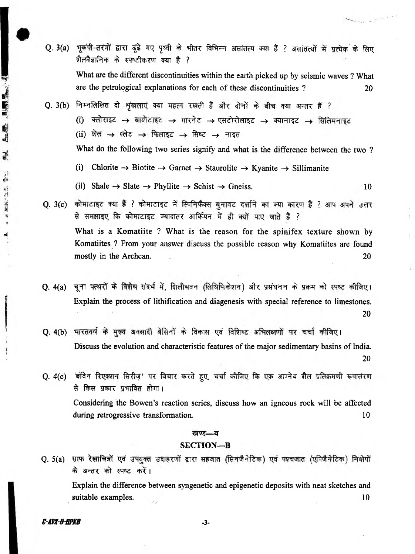- Q. 3(a) भूकंपी-तरंगों द्वारा ढूंढे गए पृथ्वी के भीतर विभिन्न असांतत्य क्या हैं ? असांतत्यों में प्रत्येक के लिए **थैलवैज्ञानिक के स्पष्टीकरण क्या है ? What are the different discontinuities within the earth picked up by seismic waves ? What are the petrological explanations for each of these discontinuities ? 20**
- Q. 3(b) निम्नलिखित दो शृंखलाएं क्या महत्व रखती हैं और दोनों के बीच क्या अन्तर हैं ? (i) क्लोराइट → बायोटाइट → गारनेट → एसटोरोलाइट → क्यानाइट → सिलिमनाइट  $(ii)$  शेल  $\rightarrow$  स्लेट  $\rightarrow$  फिलाइट  $\rightarrow$  सिष्ट  $\rightarrow$  नाइस **What do the following two series signify and what is the difference between the two ?**
	-
	- (i) Chlorite  $\rightarrow$  Biotite  $\rightarrow$  Garnet  $\rightarrow$  Staurolite  $\rightarrow$  Kyanite  $\rightarrow$  Sillimanite
	- (ii) Shale  $\rightarrow$  Slate  $\rightarrow$  Phyllite  $\rightarrow$  Schist  $\rightarrow$  Gneiss. 10
- **Q. 3(c) कोमाटाइट क्या हैं ? कोमाटाइट में स्पिनिफैक्स बुनावट दर्शाने का क्या कारण हैं ? आप अपने उत्तर** से समझाइए कि कोमाटाइट ज्यादातर आर्कियन में ही क्यों पाए जाते हैं ? **What is a Komatiite ? What is the reason for the spinifex texture shown by Komatiites ? From your answer discuss the possible reason why Komatiites are found mostly in the Archean. 20**
- Q. 4(a) चूना पत्थरों के विशेष संदर्भ में, शिलीभवन (लिथिफिकेशन) और प्रसंघनन के प्रक्रम को स्पष्ट कीजिए। **Explain the process of lithification and diagenesis with special reference to limestones.** 20
- Q. 4(b) भारतवर्ष के मुख्य अवसादी बेसिनों के विकास एवं विशिष्ट अभिलक्षणों पर चर्चा कीजिए। **Discuss the evolution and characteristic features of the major sedimentary basins of India.** 20
- $Q.$  4(c) 'बॉवेन रिएक्शन सिरीज़' पर विचार करते हूए, चर्चा कीजिए कि एक आग्नेय शैल प्रतिक्रमणी रूपातंरण से किस प्रकार प्रभावित होगा।

**Considering the Bowen's reaction series, discuss how an igneous rock will be affected during retrogressive transformation.** 10

### खण्ड—ब

#### **SECTION—B**

Q. 5(a) साफ रेखाचित्रों एवं उपयुक्त उदाहरणों द्वारा सहजात (सिनजैनेटिक) एवं पश्चजात (एपिजैनेटिक) निक्षेपों के अन्तर को स्पष्ट करें।

**Explain the difference between syngenetic and epigenetic deposits with neat sketches and suitable examples.** 10

*C-AVZ-O-HPKB* - 3-

在标志,则需要

剥

6. 無法以及性、學生

 $\overline{\mathbf{t}}$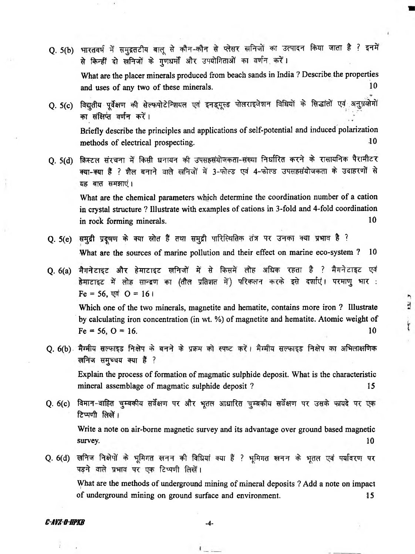- Q. 5(b) भारतवर्ष में समुद्रतटीय बालू से कौन-कौन से प्लेसर खनिजों का उत्पादन किया जाता है ? इनमें से किन्हीं दो खनिजों के गणधर्मों और उपयोगिताओं का वर्णन करें। **What are the placer minerals produced from beach sands in India ? Describe the properties and uses of any two of these minerals.** 10
- Q. 5(c) विद्युतीय पूर्वेक्षण की सेल्फपोटेन्शियल एवं इनड्यूस्ड पोलराइजेशन विधियों के सिद्धांतों एवं अनुप्र<del>यो</del>गों का संक्षिप्त वर्णन करें। **Briefly describe the principles and applications of self-potential and induced polarization methods of electrical prospecting.** 10
- Q. 5(d) क्रिस्टल संरचना में किसी धनायन की उपसहसंयोजकता-संख्या निर्धारित करने के रासायनिक पैरामीटर **TO-TO t ? ffrf «FTT^** *^* **3 - # ^ ^ 4~\*#F^ \$** *'35W &\t* **% t o** *w m ^ \*

**What are the chemical parameters which determine the coordination number of a cation in crystal structure ? Illustrate with examples of cations in 3-fold and 4-fold coordination in rock forming minerals.** 10

- Q. 5(e) समुद्री प्रदूषण के क्या स्रोत हैं तथा समुद्री पारिस्थितिक तंत्र पर उनका क्या प्रभाव है ? **What are the sources of marine pollution and their effect on marine eco-system ? 10**
- Q. 6(a) मैगनेटाइट और हेमाटाइट खनिजों में से किसमें लोह अधिक रहता है ? मैगनेटाइट एवं हेमाटाइट में लोह सान्द्रण का (तौल प्रतिशत में) परिकलन करके इसे दर्शाएं। परमाणु भार :  $Fe = 56$ ,  $\nabla \vec{q}$   $O = 161$ **Which one of the two minerals, magnetite and hematite, contains more iron ? Illustrate by calculating iron concentration (in wt. %) of magnetite and hematite. Atomic weight of**  $Fe = 56, O = 16.$  10
- Q. 6(b) मैग्मीय सल्फाइड निक्षेप के बनने के प्रक्रम को स्पष्ट करें। मैग्मीय सल्फाइड निक्षेप का अभिलाक्षणिक **सनिज समुच्चय क्या है** ?

**Explain the process of formation of magmatic sulphide deposit. What is the characteristic** mineral assemblage of magmatic sulphide deposit ? 15

 $\overline{\mathbf{z}}$ 

İ

Q. 6(c) विमान-वाहित चुम्बकीय सर्वेक्षण पर और भूतल आधारित चुम्बकीय सर्वेक्षण पर उसके फायदे पर एक *<u>zिप्पणी लिखें।</u>* 

**Write a note on air-borne magnetic survey and its advantage over ground based magnetic survey.** 10

Q. 6(d) खनिज निक्षेपों के भूमिगत खनन की विधियां क्या हैं ? भूमिगत खनन के भूतल एवं पर्यावरण पर पड़ने वाले प्रभाव पर एक टिप्पणी लिखें। **What are the methods of underground mining of mineral deposits ? Add a note on impact**

 $1 - 1$ 

**of underground mining on ground surface and environment. 15**

# *C-Affl-Q-BPKB* - 4 -